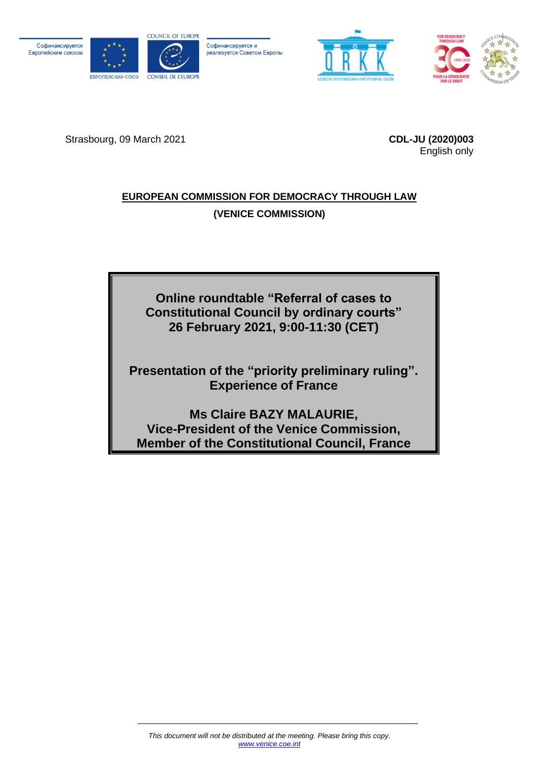Софинансируется Европейским союзом



Софинансируется и реализуется Советом Европы





Strasbourg, 09 March 2021 **CDL-JU (2020)003**

English only

## **EUROPEAN COMMISSION FOR DEMOCRACY THROUGH LAW (VENICE COMMISSION)**

**Online roundtable "Referral of cases to Constitutional Council by ordinary courts" 26 February 2021, 9:00-11:30 (CET)**

**Presentation of the "priority preliminary ruling". Experience of France**

**Ms Claire BAZY MALAURIE, Vice-President of the Venice Commission, Member of the Constitutional Council, France**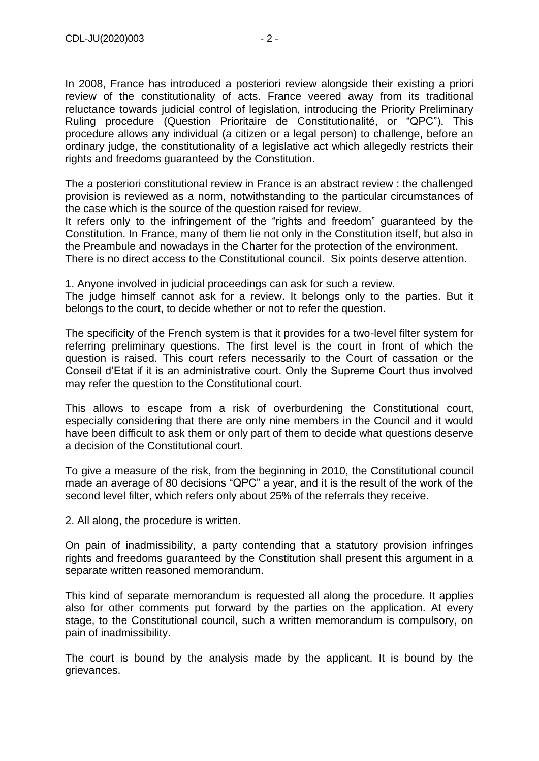In 2008, France has introduced a posteriori review alongside their existing a priori review of the constitutionality of acts. France veered away from its traditional reluctance towards judicial control of legislation, introducing the Priority Preliminary Ruling procedure (Question Prioritaire de Constitutionalité, or "QPC"). This procedure allows any individual (a citizen or a legal person) to challenge, before an ordinary judge, the constitutionality of a legislative act which allegedly restricts their rights and freedoms guaranteed by the Constitution.

The a posteriori constitutional review in France is an abstract review : the challenged provision is reviewed as a norm, notwithstanding to the particular circumstances of the case which is the source of the question raised for review.

It refers only to the infringement of the "rights and freedom" guaranteed by the Constitution. In France, many of them lie not only in the Constitution itself, but also in the Preambule and nowadays in the Charter for the protection of the environment. There is no direct access to the Constitutional council. Six points deserve attention.

1. Anyone involved in judicial proceedings can ask for such a review.

The judge himself cannot ask for a review. It belongs only to the parties. But it belongs to the court, to decide whether or not to refer the question.

The specificity of the French system is that it provides for a two-level filter system for referring preliminary questions. The first level is the court in front of which the question is raised. This court refers necessarily to the Court of cassation or the Conseil d'Etat if it is an administrative court. Only the Supreme Court thus involved may refer the question to the Constitutional court.

This allows to escape from a risk of overburdening the Constitutional court, especially considering that there are only nine members in the Council and it would have been difficult to ask them or only part of them to decide what questions deserve a decision of the Constitutional court.

To give a measure of the risk, from the beginning in 2010, the Constitutional council made an average of 80 decisions "QPC" a year, and it is the result of the work of the second level filter, which refers only about 25% of the referrals they receive.

2. All along, the procedure is written.

On pain of inadmissibility, a party contending that a statutory provision infringes rights and freedoms guaranteed by the Constitution shall present this argument in a separate written reasoned memorandum.

This kind of separate memorandum is requested all along the procedure. It applies also for other comments put forward by the parties on the application. At every stage, to the Constitutional council, such a written memorandum is compulsory, on pain of inadmissibility.

The court is bound by the analysis made by the applicant. It is bound by the grievances.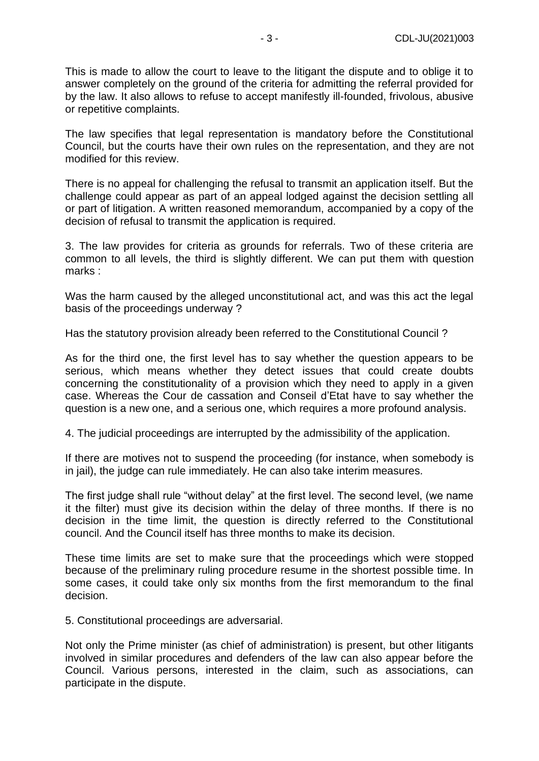This is made to allow the court to leave to the litigant the dispute and to oblige it to answer completely on the ground of the criteria for admitting the referral provided for by the law. It also allows to refuse to accept manifestly ill-founded, frivolous, abusive or repetitive complaints.

The law specifies that legal representation is mandatory before the Constitutional Council, but the courts have their own rules on the representation, and they are not modified for this review.

There is no appeal for challenging the refusal to transmit an application itself. But the challenge could appear as part of an appeal lodged against the decision settling all or part of litigation. A written reasoned memorandum, accompanied by a copy of the decision of refusal to transmit the application is required.

3. The law provides for criteria as grounds for referrals. Two of these criteria are common to all levels, the third is slightly different. We can put them with question marks :

Was the harm caused by the alleged unconstitutional act, and was this act the legal basis of the proceedings underway ?

Has the statutory provision already been referred to the Constitutional Council ?

As for the third one, the first level has to say whether the question appears to be serious, which means whether they detect issues that could create doubts concerning the constitutionality of a provision which they need to apply in a given case. Whereas the Cour de cassation and Conseil d'Etat have to say whether the question is a new one, and a serious one, which requires a more profound analysis.

4. The judicial proceedings are interrupted by the admissibility of the application.

If there are motives not to suspend the proceeding (for instance, when somebody is in jail), the judge can rule immediately. He can also take interim measures.

The first judge shall rule "without delay" at the first level. The second level, (we name it the filter) must give its decision within the delay of three months. If there is no decision in the time limit, the question is directly referred to the Constitutional council. And the Council itself has three months to make its decision.

These time limits are set to make sure that the proceedings which were stopped because of the preliminary ruling procedure resume in the shortest possible time. In some cases, it could take only six months from the first memorandum to the final decision.

5. Constitutional proceedings are adversarial.

Not only the Prime minister (as chief of administration) is present, but other litigants involved in similar procedures and defenders of the law can also appear before the Council. Various persons, interested in the claim, such as associations, can participate in the dispute.